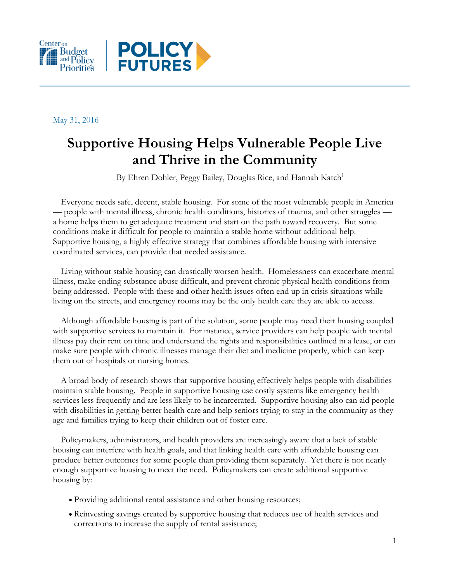



May 31, 2016

# **Supportive Housing Helps Vulnerable People Live and Thrive in the Community**

By Ehren Dohler, Peggy Bailey, Douglas Rice, and Hannah Katch<sup>1</sup>

Everyone needs safe, decent, stable housing. For some of the most vulnerable people in America — people with mental illness, chronic health conditions, histories of trauma, and other struggles a home helps them to get adequate treatment and start on the path toward recovery. But some conditions make it difficult for people to maintain a stable home without additional help. Supportive housing, a highly effective strategy that combines affordable housing with intensive coordinated services, can provide that needed assistance.

Living without stable housing can drastically worsen health. Homelessness can exacerbate mental illness, make ending substance abuse difficult, and prevent chronic physical health conditions from being addressed. People with these and other health issues often end up in crisis situations while living on the streets, and emergency rooms may be the only health care they are able to access.

Although affordable housing is part of the solution, some people may need their housing coupled with supportive services to maintain it. For instance, service providers can help people with mental illness pay their rent on time and understand the rights and responsibilities outlined in a lease, or can make sure people with chronic illnesses manage their diet and medicine properly, which can keep them out of hospitals or nursing homes.

A broad body of research shows that supportive housing effectively helps people with disabilities maintain stable housing. People in supportive housing use costly systems like emergency health services less frequently and are less likely to be incarcerated. Supportive housing also can aid people with disabilities in getting better health care and help seniors trying to stay in the community as they age and families trying to keep their children out of foster care.

Policymakers, administrators, and health providers are increasingly aware that a lack of stable housing can interfere with health goals, and that linking health care with affordable housing can produce better outcomes for some people than providing them separately. Yet there is not nearly enough supportive housing to meet the need. Policymakers can create additional supportive housing by:

- Providing additional rental assistance and other housing resources;
- Reinvesting savings created by supportive housing that reduces use of health services and corrections to increase the supply of rental assistance;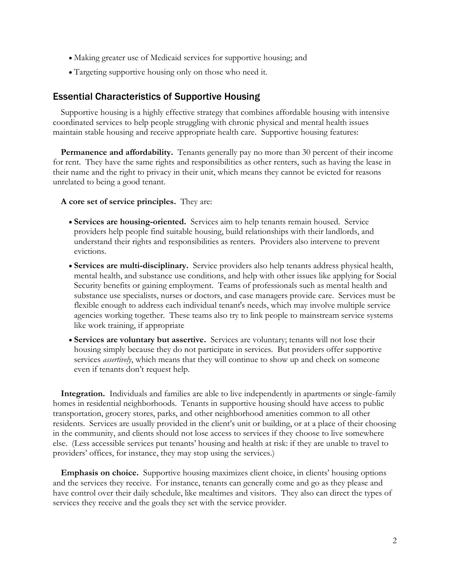- Making greater use of Medicaid services for supportive housing; and
- Targeting supportive housing only on those who need it.

# Essential Characteristics of Supportive Housing

Supportive housing is a highly effective strategy that combines affordable housing with intensive coordinated services to help people struggling with chronic physical and mental health issues maintain stable housing and receive appropriate health care. Supportive housing features:

**Permanence and affordability.** Tenants generally pay no more than 30 percent of their income for rent. They have the same rights and responsibilities as other renters, such as having the lease in their name and the right to privacy in their unit, which means they cannot be evicted for reasons unrelated to being a good tenant.

**A core set of service principles.** They are:

- **Services are housing-oriented.** Services aim to help tenants remain housed. Service providers help people find suitable housing, build relationships with their landlords, and understand their rights and responsibilities as renters. Providers also intervene to prevent evictions.
- **Services are multi-disciplinary.** Service providers also help tenants address physical health, mental health, and substance use conditions, and help with other issues like applying for Social Security benefits or gaining employment. Teams of professionals such as mental health and substance use specialists, nurses or doctors, and case managers provide care. Services must be flexible enough to address each individual tenant's needs, which may involve multiple service agencies working together. These teams also try to link people to mainstream service systems like work training, if appropriate
- **Services are voluntary but assertive.** Services are voluntary; tenants will not lose their housing simply because they do not participate in services. But providers offer supportive services *assertively*, which means that they will continue to show up and check on someone even if tenants don't request help.

**Integration.** Individuals and families are able to live independently in apartments or single-family homes in residential neighborhoods. Tenants in supportive housing should have access to public transportation, grocery stores, parks, and other neighborhood amenities common to all other residents. Services are usually provided in the client's unit or building, or at a place of their choosing in the community, and clients should not lose access to services if they choose to live somewhere else. (Less accessible services put tenants' housing and health at risk: if they are unable to travel to providers' offices, for instance, they may stop using the services.)

**Emphasis on choice.** Supportive housing maximizes client choice, in clients' housing options and the services they receive. For instance, tenants can generally come and go as they please and have control over their daily schedule, like mealtimes and visitors. They also can direct the types of services they receive and the goals they set with the service provider.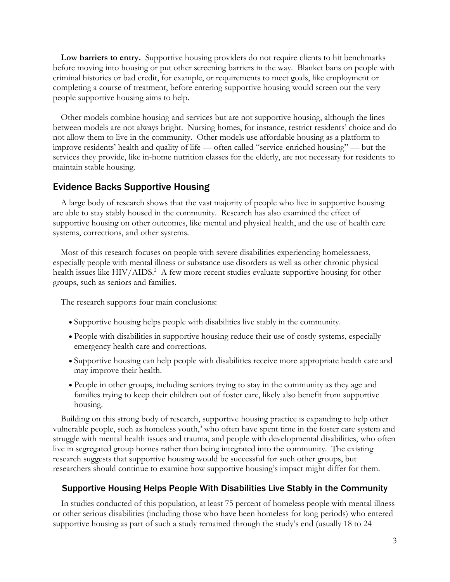**Low barriers to entry.** Supportive housing providers do not require clients to hit benchmarks before moving into housing or put other screening barriers in the way. Blanket bans on people with criminal histories or bad credit, for example, or requirements to meet goals, like employment or completing a course of treatment, before entering supportive housing would screen out the very people supportive housing aims to help.

Other models combine housing and services but are not supportive housing, although the lines between models are not always bright. Nursing homes, for instance, restrict residents' choice and do not allow them to live in the community. Other models use affordable housing as a platform to improve residents' health and quality of life — often called "service-enriched housing" — but the services they provide, like in-home nutrition classes for the elderly, are not necessary for residents to maintain stable housing.

# Evidence Backs Supportive Housing

A large body of research shows that the vast majority of people who live in supportive housing are able to stay stably housed in the community. Research has also examined the effect of supportive housing on other outcomes, like mental and physical health, and the use of health care systems, corrections, and other systems.

Most of this research focuses on people with severe disabilities experiencing homelessness, especially people with mental illness or substance use disorders as well as other chronic physical health issues like HIV/AIDS.<sup>2</sup> A few more recent studies evaluate supportive housing for other groups, such as seniors and families.

The research supports four main conclusions:

- Supportive housing helps people with disabilities live stably in the community.
- People with disabilities in supportive housing reduce their use of costly systems, especially emergency health care and corrections.
- Supportive housing can help people with disabilities receive more appropriate health care and may improve their health.
- People in other groups, including seniors trying to stay in the community as they age and families trying to keep their children out of foster care, likely also benefit from supportive housing.

Building on this strong body of research, supportive housing practice is expanding to help other vulnerable people, such as homeless youth,<sup>3</sup> who often have spent time in the foster care system and struggle with mental health issues and trauma, and people with developmental disabilities, who often live in segregated group homes rather than being integrated into the community. The existing research suggests that supportive housing would be successful for such other groups, but researchers should continue to examine how supportive housing's impact might differ for them.

#### Supportive Housing Helps People With Disabilities Live Stably in the Community

In studies conducted of this population, at least 75 percent of homeless people with mental illness or other serious disabilities (including those who have been homeless for long periods) who entered supportive housing as part of such a study remained through the study's end (usually 18 to 24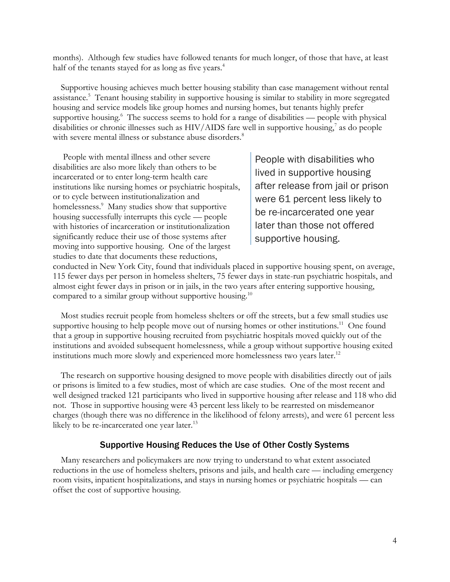months). Although few studies have followed tenants for much longer, of those that have, at least half of the tenants stayed for as long as five years.<sup>4</sup>

Supportive housing achieves much better housing stability than case management without rental assistance.<sup>5</sup> Tenant housing stability in supportive housing is similar to stability in more segregated housing and service models like group homes and nursing homes, but tenants highly prefer supportive housing.<sup>6</sup> The success seems to hold for a range of disabilities — people with physical disabilities or chronic illnesses such as HIV/AIDS fare well in supportive housing,<sup>7</sup> as do people with severe mental illness or substance abuse disorders.<sup>8</sup>

People with mental illness and other severe disabilities are also more likely than others to be incarcerated or to enter long-term health care institutions like nursing homes or psychiatric hospitals, or to cycle between institutionalization and homelessness.<sup>9</sup> Many studies show that supportive housing successfully interrupts this cycle — people with histories of incarceration or institutionalization significantly reduce their use of those systems after moving into supportive housing. One of the largest studies to date that documents these reductions,

People with disabilities who lived in supportive housing after release from jail or prison were 61 percent less likely to be re-incarcerated one year later than those not offered supportive housing.

conducted in New York City, found that individuals placed in supportive housing spent, on average, 115 fewer days per person in homeless shelters, 75 fewer days in state-run psychiatric hospitals, and almost eight fewer days in prison or in jails, in the two years after entering supportive housing, compared to a similar group without supportive housing.<sup>10</sup>

Most studies recruit people from homeless shelters or off the streets, but a few small studies use supportive housing to help people move out of nursing homes or other institutions.<sup>11</sup> One found that a group in supportive housing recruited from psychiatric hospitals moved quickly out of the institutions and avoided subsequent homelessness, while a group without supportive housing exited institutions much more slowly and experienced more homelessness two years later.<sup>12</sup>

The research on supportive housing designed to move people with disabilities directly out of jails or prisons is limited to a few studies, most of which are case studies. One of the most recent and well designed tracked 121 participants who lived in supportive housing after release and 118 who did not. Those in supportive housing were 43 percent less likely to be rearrested on misdemeanor charges (though there was no difference in the likelihood of felony arrests), and were 61 percent less likely to be re-incarcerated one year later.<sup>13</sup>

### Supportive Housing Reduces the Use of Other Costly Systems

Many researchers and policymakers are now trying to understand to what extent associated reductions in the use of homeless shelters, prisons and jails, and health care — including emergency room visits, inpatient hospitalizations, and stays in nursing homes or psychiatric hospitals — can offset the cost of supportive housing.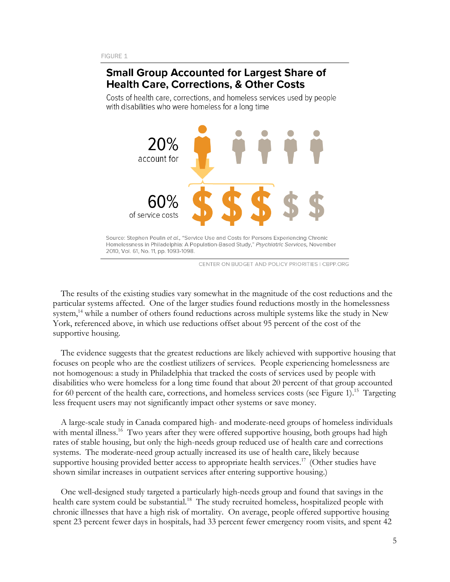# **Small Group Accounted for Largest Share of Health Care, Corrections, & Other Costs**

Costs of health care, corrections, and homeless services used by people with disabilities who were homeless for a long time



CENTER ON BUDGET AND POLICY PRIORITIES | CBPP.ORG

The results of the existing studies vary somewhat in the magnitude of the cost reductions and the particular systems affected. One of the larger studies found reductions mostly in the homelessness system,<sup>14</sup> while a number of others found reductions across multiple systems like the study in New York, referenced above, in which use reductions offset about 95 percent of the cost of the supportive housing.

The evidence suggests that the greatest reductions are likely achieved with supportive housing that focuses on people who are the costliest utilizers of services. People experiencing homelessness are not homogenous: a study in Philadelphia that tracked the costs of services used by people with disabilities who were homeless for a long time found that about 20 percent of that group accounted for 60 percent of the health care, corrections, and homeless services costs (see Figure 1).<sup>15</sup> Targeting less frequent users may not significantly impact other systems or save money.

A large-scale study in Canada compared high- and moderate-need groups of homeless individuals with mental illness.<sup>16</sup> Two years after they were offered supportive housing, both groups had high rates of stable housing, but only the high-needs group reduced use of health care and corrections systems. The moderate-need group actually increased its use of health care, likely because supportive housing provided better access to appropriate health services.<sup>17</sup> (Other studies have shown similar increases in outpatient services after entering supportive housing.)

One well-designed study targeted a particularly high-needs group and found that savings in the health care system could be substantial.<sup>18</sup> The study recruited homeless, hospitalized people with chronic illnesses that have a high risk of mortality. On average, people offered supportive housing spent 23 percent fewer days in hospitals, had 33 percent fewer emergency room visits, and spent 42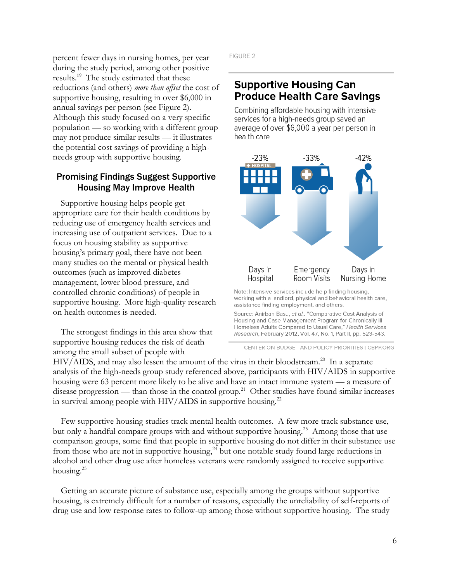percent fewer days in nursing homes, per year during the study period, among other positive results.<sup>19</sup> The study estimated that these reductions (and others) *more than offset* the cost of supportive housing, resulting in over \$6,000 in annual savings per person (see Figure 2). Although this study focused on a very specific population — so working with a different group may not produce similar results — it illustrates the potential cost savings of providing a highneeds group with supportive housing.

# Promising Findings Suggest Supportive Housing May Improve Health

Supportive housing helps people get appropriate care for their health conditions by reducing use of emergency health services and increasing use of outpatient services. Due to a focus on housing stability as supportive housing's primary goal, there have not been many studies on the mental or physical health outcomes (such as improved diabetes management, lower blood pressure, and controlled chronic conditions) of people in supportive housing. More high-quality research on health outcomes is needed.

The strongest findings in this area show that supportive housing reduces the risk of death among the small subset of people with

FIGURE 2

# **Supportive Housing Can Produce Health Care Savings**

Combining affordable housing with intensive services for a high-needs group saved an average of over \$6,000 a year per person in health care



Note: Intensive services include help finding housing, working with a landlord, physical and behavioral health care, assistance finding employment, and others.

Source: Anirban Basu, et al., "Comparative Cost Analysis of Housing and Case Management Program for Chronically III Homeless Adults Compared to Usual Care," Health Services Research, February 2012, Vol. 47, No. 1, Part II, pp. 523-543.

CENTER ON BUDGET AND POLICY PRIORITIES | CBPP.ORG

HIV/AIDS, and may also lessen the amount of the virus in their bloodstream.<sup>20</sup> In a separate analysis of the high-needs group study referenced above, participants with HIV/AIDS in supportive housing were 63 percent more likely to be alive and have an intact immune system — a measure of disease progression — than those in the control group.<sup>21</sup> Other studies have found similar increases in survival among people with  $HIV/ALDS$  in supportive housing.<sup>22</sup>

Few supportive housing studies track mental health outcomes. A few more track substance use, but only a handful compare groups with and without supportive housing.<sup>23</sup> Among those that use comparison groups, some find that people in supportive housing do not differ in their substance use from those who are not in supportive housing,<sup>24</sup> but one notable study found large reductions in alcohol and other drug use after homeless veterans were randomly assigned to receive supportive housing.<sup>25</sup>

Getting an accurate picture of substance use, especially among the groups without supportive housing, is extremely difficult for a number of reasons, especially the unreliability of self-reports of drug use and low response rates to follow-up among those without supportive housing. The study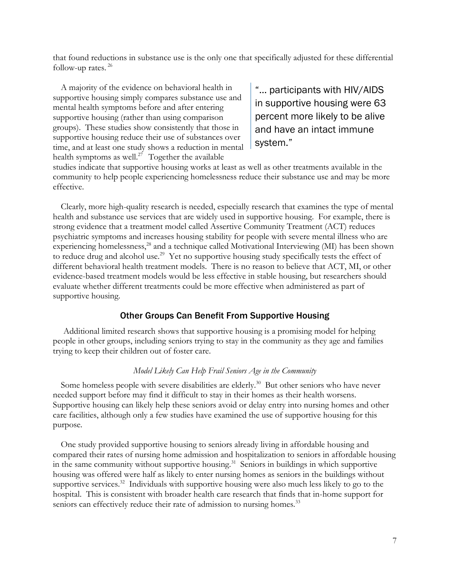that found reductions in substance use is the only one that specifically adjusted for these differential follow-up rates.<sup>26</sup>

A majority of the evidence on behavioral health in supportive housing simply compares substance use and mental health symptoms before and after entering supportive housing (rather than using comparison groups). These studies show consistently that those in supportive housing reduce their use of substances over time, and at least one study shows a reduction in mental health symptoms as well.<sup>27</sup> Together the available

"… participants with HIV/AIDS in supportive housing were 63 percent more likely to be alive and have an intact immune system."

studies indicate that supportive housing works at least as well as other treatments available in the community to help people experiencing homelessness reduce their substance use and may be more effective.

Clearly, more high-quality research is needed, especially research that examines the type of mental health and substance use services that are widely used in supportive housing. For example, there is strong evidence that a treatment model called Assertive Community Treatment (ACT) reduces psychiatric symptoms and increases housing stability for people with severe mental illness who are experiencing homelessness,<sup>28</sup> and a technique called Motivational Interviewing (MI) has been shown to reduce drug and alcohol use.<sup>29</sup> Yet no supportive housing study specifically tests the effect of different behavioral health treatment models. There is no reason to believe that ACT, MI, or other evidence-based treatment models would be less effective in stable housing, but researchers should evaluate whether different treatments could be more effective when administered as part of supportive housing.

### Other Groups Can Benefit From Supportive Housing

Additional limited research shows that supportive housing is a promising model for helping people in other groups, including seniors trying to stay in the community as they age and families trying to keep their children out of foster care.

#### *Model Likely Can Help Frail Seniors Age in the Community*

Some homeless people with severe disabilities are elderly.<sup>30</sup> But other seniors who have never needed support before may find it difficult to stay in their homes as their health worsens. Supportive housing can likely help these seniors avoid or delay entry into nursing homes and other care facilities, although only a few studies have examined the use of supportive housing for this purpose.

One study provided supportive housing to seniors already living in affordable housing and compared their rates of nursing home admission and hospitalization to seniors in affordable housing in the same community without supportive housing.<sup>31</sup> Seniors in buildings in which supportive housing was offered were half as likely to enter nursing homes as seniors in the buildings without supportive services.<sup>32</sup> Individuals with supportive housing were also much less likely to go to the hospital. This is consistent with broader health care research that finds that in-home support for seniors can effectively reduce their rate of admission to nursing homes.<sup>33</sup>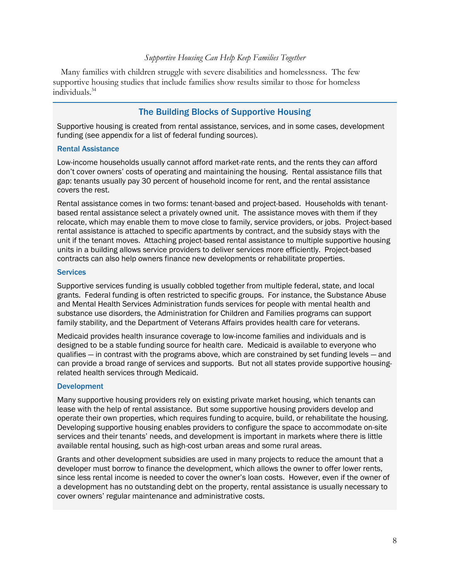#### *Supportive Housing Can Help Keep Families Together*

Many families with children struggle with severe disabilities and homelessness. The few supportive housing studies that include families show results similar to those for homeless individuals.<sup>34</sup>

# The Building Blocks of Supportive Housing

Supportive housing is created from rental assistance, services, and in some cases, development funding (see appendix for a list of federal funding sources).

#### Rental Assistance

Low-income households usually cannot afford market-rate rents, and the rents they *can* afford don't cover owners' costs of operating and maintaining the housing. Rental assistance fills that gap: tenants usually pay 30 percent of household income for rent, and the rental assistance covers the rest.

Rental assistance comes in two forms: tenant-based and project-based. Households with tenantbased rental assistance select a privately owned unit. The assistance moves with them if they relocate, which may enable them to move close to family, service providers, or jobs. Project-based rental assistance is attached to specific apartments by contract, and the subsidy stays with the unit if the tenant moves. Attaching project-based rental assistance to multiple supportive housing units in a building allows service providers to deliver services more efficiently. Project-based contracts can also help owners finance new developments or rehabilitate properties.

#### **Services**

Supportive services funding is usually cobbled together from multiple federal, state, and local grants. Federal funding is often restricted to specific groups. For instance, the Substance Abuse and Mental Health Services Administration funds services for people with mental health and substance use disorders, the Administration for Children and Families programs can support family stability, and the Department of Veterans Affairs provides health care for veterans.

Medicaid provides health insurance coverage to low-income families and individuals and is designed to be a stable funding source for health care. Medicaid is available to everyone who qualifies — in contrast with the programs above, which are constrained by set funding levels — and can provide a broad range of services and supports. But not all states provide supportive housingrelated health services through Medicaid.

#### Development

Many supportive housing providers rely on existing private market housing, which tenants can lease with the help of rental assistance. But some supportive housing providers develop and operate their own properties, which requires funding to acquire, build, or rehabilitate the housing. Developing supportive housing enables providers to configure the space to accommodate on-site services and their tenants' needs, and development is important in markets where there is little available rental housing, such as high-cost urban areas and some rural areas.

Grants and other development subsidies are used in many projects to reduce the amount that a developer must borrow to finance the development, which allows the owner to offer lower rents, since less rental income is needed to cover the owner's loan costs. However, even if the owner of a development has no outstanding debt on the property, rental assistance is usually necessary to cover owners' regular maintenance and administrative costs.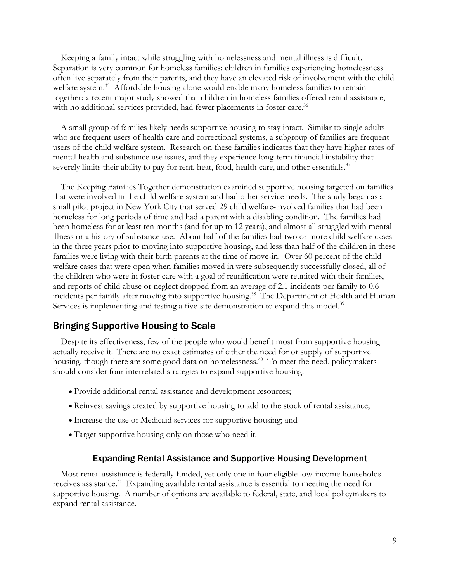Keeping a family intact while struggling with homelessness and mental illness is difficult. Separation is very common for homeless families: children in families experiencing homelessness often live separately from their parents, and they have an elevated risk of involvement with the child welfare system.<sup>35</sup> Affordable housing alone would enable many homeless families to remain together: a recent major study showed that children in homeless families offered rental assistance, with no additional services provided, had fewer placements in foster care.<sup>36</sup>

A small group of families likely needs supportive housing to stay intact. Similar to single adults who are frequent users of health care and correctional systems, a subgroup of families are frequent users of the child welfare system. Research on these families indicates that they have higher rates of mental health and substance use issues, and they experience long-term financial instability that severely limits their ability to pay for rent, heat, food, health care, and other essentials.<sup>37</sup>

The Keeping Families Together demonstration examined supportive housing targeted on families that were involved in the child welfare system and had other service needs. The study began as a small pilot project in New York City that served 29 child welfare-involved families that had been homeless for long periods of time and had a parent with a disabling condition. The families had been homeless for at least ten months (and for up to 12 years), and almost all struggled with mental illness or a history of substance use. About half of the families had two or more child welfare cases in the three years prior to moving into supportive housing, and less than half of the children in these families were living with their birth parents at the time of move-in. Over 60 percent of the child welfare cases that were open when families moved in were subsequently successfully closed, all of the children who were in foster care with a goal of reunification were reunited with their families, and reports of child abuse or neglect dropped from an average of 2.1 incidents per family to 0.6 incidents per family after moving into supportive housing.<sup>38</sup> The Department of Health and Human Services is implementing and testing a five-site demonstration to expand this model.<sup>39</sup>

# Bringing Supportive Housing to Scale

Despite its effectiveness, few of the people who would benefit most from supportive housing actually receive it. There are no exact estimates of either the need for or supply of supportive housing, though there are some good data on homelessness.<sup>40</sup> To meet the need, policymakers should consider four interrelated strategies to expand supportive housing:

- Provide additional rental assistance and development resources;
- Reinvest savings created by supportive housing to add to the stock of rental assistance;
- Increase the use of Medicaid services for supportive housing; and
- Target supportive housing only on those who need it.

#### Expanding Rental Assistance and Supportive Housing Development

Most rental assistance is federally funded, yet only one in four eligible low-income households receives assistance.<sup>41</sup> Expanding available rental assistance is essential to meeting the need for supportive housing. A number of options are available to federal, state, and local policymakers to expand rental assistance.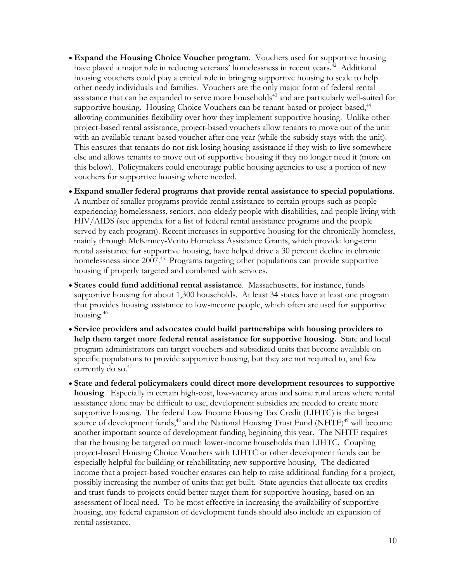- **Expand the Housing Choice Voucher program**. Vouchers used for supportive housing have played a major role in reducing veterans' homelessness in recent years.<sup>42</sup> Additional housing vouchers could play a critical role in bringing supportive housing to scale to help other needy individuals and families. Vouchers are the only major form of federal rental assistance that can be expanded to serve more households<sup>43</sup> and are particularly well-suited for supportive housing. Housing Choice Vouchers can be tenant-based or project-based,<sup>44</sup> allowing communities flexibility over how they implement supportive housing. Unlike other project-based rental assistance, project-based vouchers allow tenants to move out of the unit with an available tenant-based voucher after one year (while the subsidy stays with the unit). This ensures that tenants do not risk losing housing assistance if they wish to live somewhere else and allows tenants to move out of supportive housing if they no longer need it (more on this below). Policymakers could encourage public housing agencies to use a portion of new vouchers for supportive housing where needed.
- **Expand smaller federal programs that provide rental assistance to special populations**. A number of smaller programs provide rental assistance to certain groups such as people experiencing homelessness, seniors, non-elderly people with disabilities, and people living with HIV/AIDS (see appendix for a list of federal rental assistance programs and the people served by each program). Recent increases in supportive housing for the chronically homeless, mainly through McKinney-Vento Homeless Assistance Grants, which provide long-term rental assistance for supportive housing, have helped drive a 30 percent decline in chronic homelessness since 2007.<sup>45</sup> Programs targeting other populations can provide supportive housing if properly targeted and combined with services.
- **States could fund additional rental assistance**. Massachusetts, for instance, funds supportive housing for about 1,300 households. At least 34 states have at least one program that provides housing assistance to low-income people, which often are used for supportive housing.<sup>46</sup>
- **Service providers and advocates could build partnerships with housing providers to help them target more federal rental assistance for supportive housing.** State and local program administrators can target vouchers and subsidized units that become available on specific populations to provide supportive housing, but they are not required to, and few currently do so.<sup>47</sup>
- **State and federal policymakers could direct more development resources to supportive housing**. Especially in certain high-cost, low-vacancy areas and some rural areas where rental assistance alone may be difficult to use, development subsidies are needed to create more supportive housing. The federal Low Income Housing Tax Credit (LIHTC) is the largest source of development funds, $48$  and the National Housing Trust Fund (NHTF) $49$  will become another important source of development funding beginning this year. The NHTF requires that the housing be targeted on much lower-income households than LIHTC. Coupling project-based Housing Choice Vouchers with LIHTC or other development funds can be especially helpful for building or rehabilitating new supportive housing. The dedicated income that a project-based voucher ensures can help to raise additional funding for a project, possibly increasing the number of units that get built. State agencies that allocate tax credits and trust funds to projects could better target them for supportive housing, based on an assessment of local need. To be most effective in increasing the availability of supportive housing, any federal expansion of development funds should also include an expansion of rental assistance.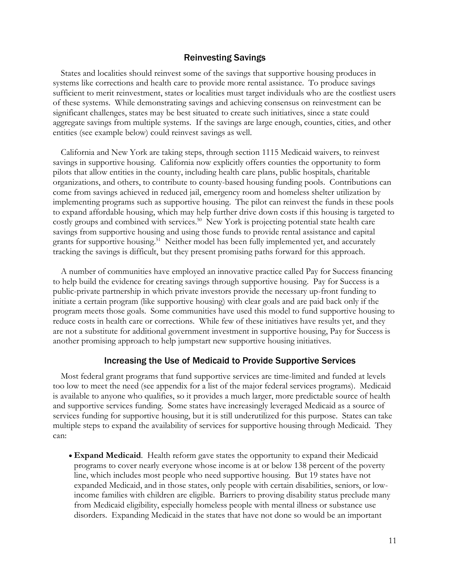#### Reinvesting Savings

States and localities should reinvest some of the savings that supportive housing produces in systems like corrections and health care to provide more rental assistance. To produce savings sufficient to merit reinvestment, states or localities must target individuals who are the costliest users of these systems. While demonstrating savings and achieving consensus on reinvestment can be significant challenges, states may be best situated to create such initiatives, since a state could aggregate savings from multiple systems. If the savings are large enough, counties, cities, and other entities (see example below) could reinvest savings as well.

California and New York are taking steps, through section 1115 Medicaid waivers, to reinvest savings in supportive housing. California now explicitly offers counties the opportunity to form pilots that allow entities in the county, including health care plans, public hospitals, charitable organizations, and others, to contribute to county-based housing funding pools. Contributions can come from savings achieved in reduced jail, emergency room and homeless shelter utilization by implementing programs such as supportive housing. The pilot can reinvest the funds in these pools to expand affordable housing, which may help further drive down costs if this housing is targeted to costly groups and combined with services.<sup>50</sup> New York is projecting potential state health care savings from supportive housing and using those funds to provide rental assistance and capital grants for supportive housing.<sup>51</sup> Neither model has been fully implemented yet, and accurately tracking the savings is difficult, but they present promising paths forward for this approach.

A number of communities have employed an innovative practice called Pay for Success financing to help build the evidence for creating savings through supportive housing. Pay for Success is a public-private partnership in which private investors provide the necessary up-front funding to initiate a certain program (like supportive housing) with clear goals and are paid back only if the program meets those goals. Some communities have used this model to fund supportive housing to reduce costs in health care or corrections. While few of these initiatives have results yet, and they are not a substitute for additional government investment in supportive housing, Pay for Success is another promising approach to help jumpstart new supportive housing initiatives.

#### Increasing the Use of Medicaid to Provide Supportive Services

Most federal grant programs that fund supportive services are time-limited and funded at levels too low to meet the need (see appendix for a list of the major federal services programs). Medicaid is available to anyone who qualifies, so it provides a much larger, more predictable source of health and supportive services funding. Some states have increasingly leveraged Medicaid as a source of services funding for supportive housing, but it is still underutilized for this purpose. States can take multiple steps to expand the availability of services for supportive housing through Medicaid. They can:

 **Expand Medicaid**. Health reform gave states the opportunity to expand their Medicaid programs to cover nearly everyone whose income is at or below 138 percent of the poverty line, which includes most people who need supportive housing. But 19 states have not expanded Medicaid, and in those states, only people with certain disabilities, seniors, or lowincome families with children are eligible. Barriers to proving disability status preclude many from Medicaid eligibility, especially homeless people with mental illness or substance use disorders. Expanding Medicaid in the states that have not done so would be an important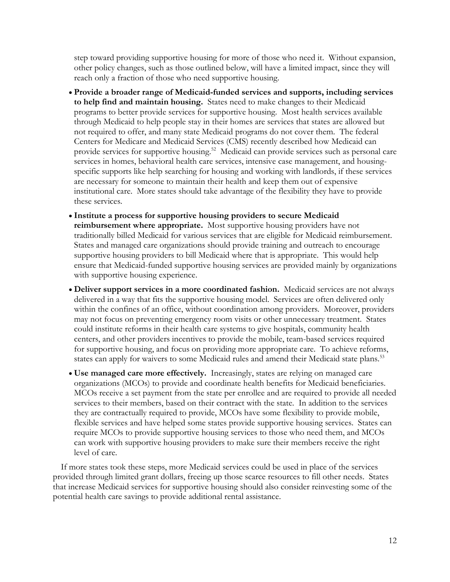step toward providing supportive housing for more of those who need it. Without expansion, other policy changes, such as those outlined below, will have a limited impact, since they will reach only a fraction of those who need supportive housing.

- **Provide a broader range of Medicaid-funded services and supports, including services to help find and maintain housing.** States need to make changes to their Medicaid programs to better provide services for supportive housing. Most health services available through Medicaid to help people stay in their homes are services that states are allowed but not required to offer, and many state Medicaid programs do not cover them. The federal Centers for Medicare and Medicaid Services (CMS) recently described how Medicaid can provide services for supportive housing.<sup>52</sup> Medicaid can provide services such as personal care services in homes, behavioral health care services, intensive case management, and housingspecific supports like help searching for housing and working with landlords, if these services are necessary for someone to maintain their health and keep them out of expensive institutional care. More states should take advantage of the flexibility they have to provide these services.
- **Institute a process for supportive housing providers to secure Medicaid reimbursement where appropriate.** Most supportive housing providers have not traditionally billed Medicaid for various services that are eligible for Medicaid reimbursement. States and managed care organizations should provide training and outreach to encourage supportive housing providers to bill Medicaid where that is appropriate. This would help ensure that Medicaid-funded supportive housing services are provided mainly by organizations with supportive housing experience.
- **Deliver support services in a more coordinated fashion.** Medicaid services are not always delivered in a way that fits the supportive housing model. Services are often delivered only within the confines of an office, without coordination among providers. Moreover, providers may not focus on preventing emergency room visits or other unnecessary treatment. States could institute reforms in their health care systems to give hospitals, community health centers, and other providers incentives to provide the mobile, team-based services required for supportive housing, and focus on providing more appropriate care. To achieve reforms, states can apply for waivers to some Medicaid rules and amend their Medicaid state plans.<sup>53</sup>
- **Use managed care more effectively.** Increasingly, states are relying on managed care organizations (MCOs) to provide and coordinate health benefits for Medicaid beneficiaries. MCOs receive a set payment from the state per enrollee and are required to provide all needed services to their members, based on their contract with the state. In addition to the services they are contractually required to provide, MCOs have some flexibility to provide mobile, flexible services and have helped some states provide supportive housing services. States can require MCOs to provide supportive housing services to those who need them, and MCOs can work with supportive housing providers to make sure their members receive the right level of care.

If more states took these steps, more Medicaid services could be used in place of the services provided through limited grant dollars, freeing up those scarce resources to fill other needs. States that increase Medicaid services for supportive housing should also consider reinvesting some of the potential health care savings to provide additional rental assistance.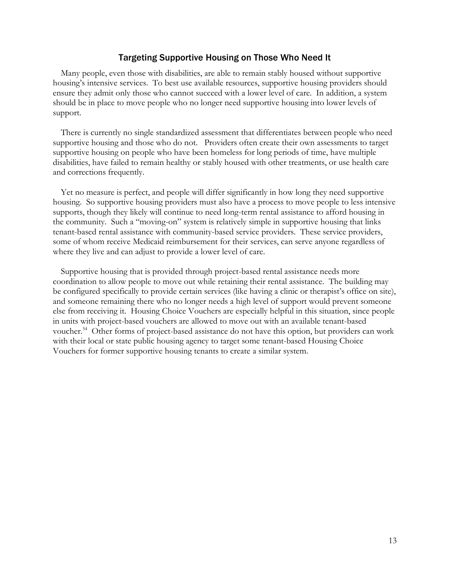### Targeting Supportive Housing on Those Who Need It

Many people, even those with disabilities, are able to remain stably housed without supportive housing's intensive services. To best use available resources, supportive housing providers should ensure they admit only those who cannot succeed with a lower level of care. In addition, a system should be in place to move people who no longer need supportive housing into lower levels of support.

There is currently no single standardized assessment that differentiates between people who need supportive housing and those who do not. Providers often create their own assessments to target supportive housing on people who have been homeless for long periods of time, have multiple disabilities, have failed to remain healthy or stably housed with other treatments, or use health care and corrections frequently.

Yet no measure is perfect, and people will differ significantly in how long they need supportive housing. So supportive housing providers must also have a process to move people to less intensive supports, though they likely will continue to need long-term rental assistance to afford housing in the community. Such a "moving-on" system is relatively simple in supportive housing that links tenant-based rental assistance with community-based service providers. These service providers, some of whom receive Medicaid reimbursement for their services, can serve anyone regardless of where they live and can adjust to provide a lower level of care.

Supportive housing that is provided through project-based rental assistance needs more coordination to allow people to move out while retaining their rental assistance. The building may be configured specifically to provide certain services (like having a clinic or therapist's office on site), and someone remaining there who no longer needs a high level of support would prevent someone else from receiving it. Housing Choice Vouchers are especially helpful in this situation, since people in units with project-based vouchers are allowed to move out with an available tenant-based voucher.<sup>54</sup> Other forms of project-based assistance do not have this option, but providers can work with their local or state public housing agency to target some tenant-based Housing Choice Vouchers for former supportive housing tenants to create a similar system.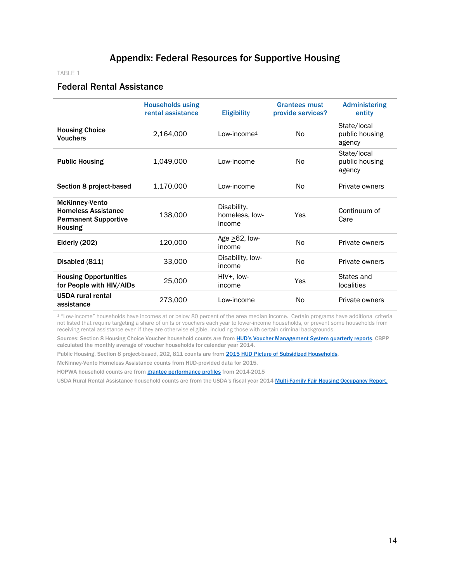# Appendix: Federal Resources for Supportive Housing

#### TABLE 1

## Federal Rental Assistance

|                                                                                                      | <b>Households using</b><br>rental assistance | <b>Eligibility</b>                      | <b>Grantees must</b><br>provide services? | <b>Administering</b><br>entity          |
|------------------------------------------------------------------------------------------------------|----------------------------------------------|-----------------------------------------|-------------------------------------------|-----------------------------------------|
| <b>Housing Choice</b><br><b>Vouchers</b>                                                             | 2,164,000                                    | Low-income <sup>1</sup>                 | N <sub>0</sub>                            | State/local<br>public housing<br>agency |
| <b>Public Housing</b>                                                                                | 1,049,000                                    | Low-income                              | N <sub>0</sub>                            | State/local<br>public housing<br>agency |
| Section 8 project-based                                                                              | 1,170,000                                    | Low-income                              | No.                                       | Private owners                          |
| <b>McKinney-Vento</b><br><b>Homeless Assistance</b><br><b>Permanent Supportive</b><br><b>Housing</b> | 138,000                                      | Disability,<br>homeless, low-<br>income | Yes                                       | Continuum of<br>Care                    |
| Elderly (202)                                                                                        | 120,000                                      | Age $\geq 62$ , low-<br>income          | No                                        | Private owners                          |
| Disabled (811)                                                                                       | 33,000                                       | Disability, low-<br>income              | N <sub>0</sub>                            | Private owners                          |
| <b>Housing Opportunities</b><br>for People with HIV/AIDs                                             | 25,000                                       | HIV+, Iow-<br>income                    | Yes                                       | States and<br>localities                |
| <b>USDA</b> rural rental<br>assistance                                                               | 273,000                                      | Low-income                              | No.                                       | Private owners                          |

<sup>1</sup> "Low-income" households have incomes at or below 80 percent of the area median income. Certain programs have additional criteria not listed that require targeting a share of units or vouchers each year to lower-income households, or prevent some households from receiving rental assistance even if they are otherwise eligible, including those with certain criminal backgrounds.

Sources: Section 8 Housing Choice Voucher household counts are from [HUD's Voucher Management System q](http://portal.hud.gov/hudportal/HUD?src=/program_offices/public_indian_housing/programs/hcv/psd)uarterly reports. CBPP calculated the monthly average of voucher households for calendar year 2014.

Public Housing, Section 8 project-based, 202, 811 counts are fro[m 2015 HUD Picture of Subsidized Households.](https://www.huduser.gov/portal/datasets/picture/yearlydata.html)

McKinney-Vento Homeless Assistance counts from HUD-provided data for 2015.

HOPWA household counts are from **grantee performance profiles** from 2014-2015

USDA Rural Rental Assistance household counts are from the USDA's fiscal year 2014 [Multi-Family Fair Housing Occupancy Report.](http://www.ruralhome.org/storage/documents/rd_obligations/mfh-occupancy/usda-mfh-fy14-report.pdf)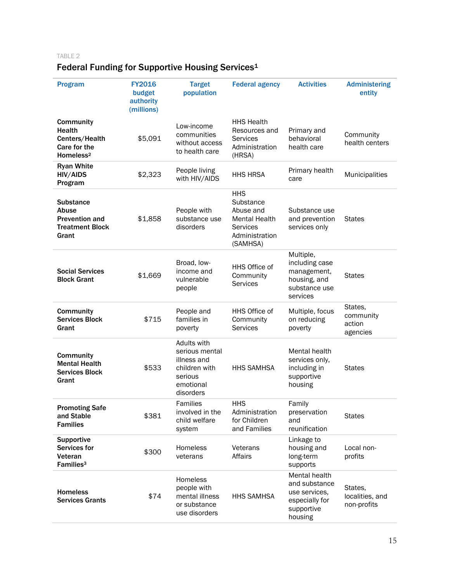# TABLE 2

# Federal Funding for Supportive Housing Services<sup>1</sup>

| <b>Program</b>                                                                        | <b>FY2016</b><br>budget<br>authority<br>(millions) | <b>Target</b><br>population                                                                        | <b>Federal agency</b>                                                                                         | <b>Activities</b>                                                                          | <b>Administering</b><br>entity             |
|---------------------------------------------------------------------------------------|----------------------------------------------------|----------------------------------------------------------------------------------------------------|---------------------------------------------------------------------------------------------------------------|--------------------------------------------------------------------------------------------|--------------------------------------------|
| Community<br><b>Health</b><br>Centers/Health<br>Care for the<br>Homeless <sup>2</sup> | \$5,091                                            | Low-income<br>communities<br>without access<br>to health care                                      | <b>HHS Health</b><br>Resources and<br><b>Services</b><br>Administration<br>(HRSA)                             | Primary and<br>behavioral<br>health care                                                   | Community<br>health centers                |
| <b>Ryan White</b><br><b>HIV/AIDS</b><br>Program                                       | \$2,323                                            | People living<br>with HIV/AIDS                                                                     | <b>HHS HRSA</b>                                                                                               | Primary health<br>care                                                                     | Municipalities                             |
| <b>Substance</b><br>Abuse<br><b>Prevention and</b><br><b>Treatment Block</b><br>Grant | \$1,858                                            | People with<br>substance use<br>disorders                                                          | <b>HHS</b><br>Substance<br>Abuse and<br><b>Mental Health</b><br><b>Services</b><br>Administration<br>(SAMHSA) | Substance use<br>and prevention<br>services only                                           | <b>States</b>                              |
| <b>Social Services</b><br><b>Block Grant</b>                                          | \$1,669                                            | Broad, low-<br>income and<br>vulnerable<br>people                                                  | HHS Office of<br>Community<br><b>Services</b>                                                                 | Multiple,<br>including case<br>management,<br>housing, and<br>substance use<br>services    | <b>States</b>                              |
| Community<br><b>Services Block</b><br>Grant                                           | \$715                                              | People and<br>families in<br>poverty                                                               | HHS Office of<br>Community<br><b>Services</b>                                                                 | Multiple, focus<br>on reducing<br>poverty                                                  | States,<br>community<br>action<br>agencies |
| Community<br><b>Mental Health</b><br><b>Services Block</b><br>Grant                   | \$533                                              | Adults with<br>serious mental<br>illness and<br>children with<br>serious<br>emotional<br>disorders | <b>HHS SAMHSA</b>                                                                                             | Mental health<br>services only,<br>including in<br>supportive<br>housing                   | <b>States</b>                              |
| <b>Promoting Safe</b><br>and Stable<br><b>Families</b>                                | \$381                                              | Families<br>involved in the<br>child welfare<br>system                                             | <b>HHS</b><br>Administration<br>for Children<br>and Families                                                  | Family<br>preservation<br>and<br>reunification                                             | <b>States</b>                              |
| Supportive<br>Services for<br>Veteran<br>Families <sup>3</sup>                        | \$300                                              | Homeless<br>veterans                                                                               | Veterans<br>Affairs                                                                                           | Linkage to<br>housing and<br>long-term<br>supports                                         | Local non-<br>profits                      |
| <b>Homeless</b><br><b>Services Grants</b>                                             | \$74                                               | Homeless<br>people with<br>mental illness<br>or substance<br>use disorders                         | <b>HHS SAMHSA</b>                                                                                             | Mental health<br>and substance<br>use services.<br>especially for<br>supportive<br>housing | States,<br>localities, and<br>non-profits  |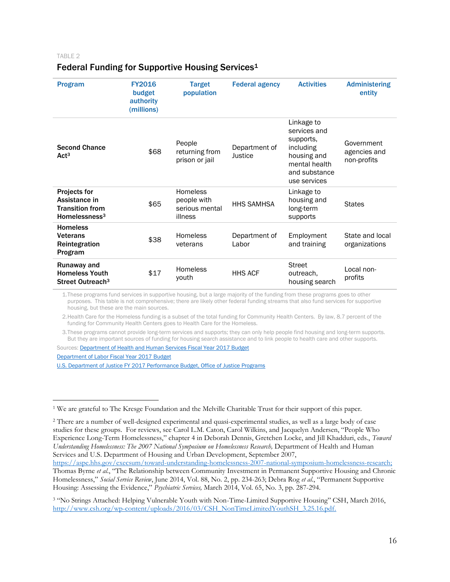TABLE 2

# Federal Funding for Supportive Housing Services<sup>1</sup>

| <b>Program</b>                                                                     | <b>FY2016</b><br>budget<br>authority<br>(millions) | <b>Target</b><br>population                                 | <b>Federal agency</b>    | <b>Activities</b>                                                                                                     | <b>Administering</b><br>entity            |
|------------------------------------------------------------------------------------|----------------------------------------------------|-------------------------------------------------------------|--------------------------|-----------------------------------------------------------------------------------------------------------------------|-------------------------------------------|
| <b>Second Chance</b><br>Act <sup>3</sup>                                           | \$68                                               | People<br>returning from<br>prison or jail                  | Department of<br>Justice | Linkage to<br>services and<br>supports,<br>including<br>housing and<br>mental health<br>and substance<br>use services | Government<br>agencies and<br>non-profits |
| <b>Projects for</b><br>Assistance in<br><b>Transition from</b><br>Homelessness $3$ | \$65                                               | <b>Homeless</b><br>people with<br>serious mental<br>illness | <b>HHS SAMHSA</b>        | Linkage to<br>housing and<br>long-term<br>supports                                                                    | <b>States</b>                             |
| <b>Homeless</b><br><b>Veterans</b><br>Reintegration<br>Program                     | \$38                                               | <b>Homeless</b><br>veterans                                 | Department of<br>Labor   | Employment<br>and training                                                                                            | State and local<br>organizations          |
| Runaway and<br><b>Homeless Youth</b><br>Street Outreach <sup>3</sup>               | \$17                                               | <b>Homeless</b><br>youth                                    | <b>HHS ACF</b>           | <b>Street</b><br>outreach,<br>housing search                                                                          | Local non-<br>profits                     |

1.These programs fund services in supportive housing, but a large majority of the funding from these programs goes to other purposes. This table is not comprehensive; there are likely other federal funding streams that also fund services for supportive housing, but these are the main sources.

2.Health Care for the Homeless funding is a subset of the total funding for Community Health Centers. By law, 8.7 percent of the funding for Community Health Centers goes to Health Care for the Homeless.

3.These programs cannot provide long-term services and supports; they can only help people find housing and long-term supports. But they are important sources of funding for housing search assistance and to link people to health care and other supports.

Sources[: Department of Health and Human Services Fiscal Year 2017 Budget](http://www.hhs.gov/about/budget/index.html#justifications)

[Department of Labor Fiscal Year 2017 Budget](https://www.dol.gov/general/budget)

 $\overline{a}$ 

[U.S. Department of Justice FY 2017 Performance Budget, Office of Justice Programs](https://www.justice.gov/jmd/file/822366/download)

<sup>1</sup> We are grateful to The Kresge Foundation and the Melville Charitable Trust for their support of this paper.

<sup>2</sup> There are a number of well-designed experimental and quasi-experimental studies, as well as a large body of case studies for these groups. For reviews, see Carol L.M. Caton, Carol Wilkins, and Jacquelyn Andersen, "People Who Experience Long-Term Homelessness," chapter 4 in Deborah Dennis, Gretchen Locke, and Jill Khadduri, eds., *Toward Understanding Homelessness: The 2007 National Symposium on Homelessness Research,* Department of Health and Human Services and U.S. Department of Housing and Urban Development, September 2007,

[https://aspe.hhs.gov/execsum/toward-understanding-homelessness-2007-national-symposium-homelessness-research;](https://aspe.hhs.gov/execsum/toward-understanding-homelessness-2007-national-symposium-homelessness-research)  Thomas Byrne *et al*., "The Relationship between Community Investment in Permanent Supportive Housing and Chronic Homelessness," *Social Service Review*, June 2014, Vol. 88, No. 2, pp. 234-263; Debra Rog *et al*., "Permanent Supportive Housing: Assessing the Evidence," *Psychiatric Services,* March 2014, Vol. 65, No. 3, pp. 287-294.

<sup>&</sup>lt;sup>3</sup> "No Strings Attached: Helping Vulnerable Youth with Non-Time-Limited Supportive Housing" CSH, March 2016, [http://www.csh.org/wp-content/uploads/2016/03/CSH\\_NonTimeLimitedYouthSH\\_3.25.16.pdf.](http://www.csh.org/wp-content/uploads/2016/03/CSH_NonTimeLimitedYouthSH_3.25.16.pdf)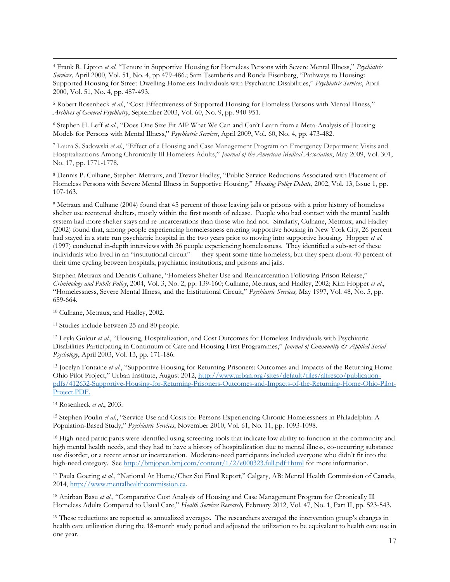$\overline{a}$ <sup>4</sup> Frank R. Lipton *et al*. "Tenure in Supportive Housing for Homeless Persons with Severe Mental Illness," *Psychiatric Services,* April 2000, Vol. 51, No. 4, pp 479-486.; Sam Tsemberis and Ronda Eisenberg, "Pathways to Housing: Supported Housing for Street-Dwelling Homeless Individuals with Psychiatric Disabilities," *Psychiatric Services*, April 2000, Vol. 51, No. 4, pp. 487-493.

<sup>5</sup> Robert Rosenheck *et al*., "Cost-Effectiveness of Supported Housing for Homeless Persons with Mental Illness," *Archives of General Psychiatry*, September 2003, Vol. 60, No. 9, pp. 940-951.

<sup>6</sup> Stephen H. Leff *et al*., "Does One Size Fit All? What We Can and Can't Learn from a Meta-Analysis of Housing Models for Persons with Mental Illness," *Psychiatric Services*, April 2009, Vol. 60, No. 4, pp. 473-482.

<sup>7</sup> Laura S. Sadowski *et al*., "Effect of a Housing and Case Management Program on Emergency Department Visits and Hospitalizations Among Chronically Ill Homeless Adults," *Journal of the American Medical Association*, May 2009, Vol. 301, No. 17, pp. 1771-1778.

<sup>8</sup> Dennis P. Culhane, Stephen Metraux, and Trevor Hadley, "Public Service Reductions Associated with Placement of Homeless Persons with Severe Mental Illness in Supportive Housing," *Housing Policy Debate*, 2002, Vol. 13, Issue 1, pp. 107-163.

<sup>9</sup> Metraux and Culhane (2004) found that 45 percent of those leaving jails or prisons with a prior history of homeless shelter use reentered shelters, mostly within the first month of release. People who had contact with the mental health system had more shelter stays and re-incarcerations than those who had not. Similarly, Culhane, Metraux, and Hadley (2002) found that, among people experiencing homelessness entering supportive housing in New York City, 26 percent had stayed in a state run psychiatric hospital in the two years prior to moving into supportive housing. Hopper *et al.* (1997) conducted in-depth interviews with 36 people experiencing homelessness. They identified a sub-set of these individuals who lived in an "institutional circuit" — they spent some time homeless, but they spent about 40 percent of their time cycling between hospitals, psychiatric institutions, and prisons and jails.

Stephen Metraux and Dennis Culhane, "Homeless Shelter Use and Reincarceration Following Prison Release," *Criminology and Public Policy*, 2004, Vol. 3, No. 2, pp. 139-160; Culhane, Metraux, and Hadley, 2002; Kim Hopper *et al*., "Homelessness, Severe Mental Illness, and the Institutional Circuit," *Psychiatric Services,* May 1997, Vol. 48, No. 5, pp. 659-664.

<sup>10</sup> Culhane, Metraux, and Hadley, 2002.

<sup>11</sup> Studies include between 25 and 80 people.

<sup>12</sup> Leyla Gulcur *et al*., "Housing, Hospitalization, and Cost Outcomes for Homeless Individuals with Psychiatric Disabilities Participating in Continuum of Care and Housing First Programmes," *Journal of Community & Applied Social Psychology*, April 2003, Vol. 13, pp. 171-186.

<sup>13</sup> Jocelyn Fontaine *et al*., "Supportive Housing for Returning Prisoners: Outcomes and Impacts of the Returning Home Ohio Pilot Project," Urban Institute, August 2012, [http://www.urban.org/sites/default/files/alfresco/publication](http://www.urban.org/sites/default/files/alfresco/publication-pdfs/412632-Supportive-Housing-for-Returning-Prisoners-Outcomes-and-Impacts-of-the-Returning-Home-Ohio-Pilot-Project.PDF)[pdfs/412632-Supportive-Housing-for-Returning-Prisoners-Outcomes-and-Impacts-of-the-Returning-Home-Ohio-Pilot-](http://www.urban.org/sites/default/files/alfresco/publication-pdfs/412632-Supportive-Housing-for-Returning-Prisoners-Outcomes-and-Impacts-of-the-Returning-Home-Ohio-Pilot-Project.PDF)[Project.PDF.](http://www.urban.org/sites/default/files/alfresco/publication-pdfs/412632-Supportive-Housing-for-Returning-Prisoners-Outcomes-and-Impacts-of-the-Returning-Home-Ohio-Pilot-Project.PDF)

<sup>14</sup> Rosenheck *et al*., 2003.

<sup>15</sup> Stephen Poulin *et al*., "Service Use and Costs for Persons Experiencing Chronic Homelessness in Philadelphia: A Population-Based Study," *Psychiatric Services*, November 2010, Vol. 61, No. 11, pp. 1093-1098.

<sup>16</sup> High-need participants were identified using screening tools that indicate low ability to function in the community and high mental health needs, and they had to have a history of hospitalization due to mental illness, co-occurring substance use disorder, or a recent arrest or incarceration. Moderate-need participants included everyone who didn't fit into the high-need category. See<http://bmjopen.bmj.com/content/1/2/e000323.full.pdf+html> for more information.

<sup>17</sup> Paula Goering *et al*., "National At Home/Chez Soi Final Report," Calgary, AB: Mental Health Commission of Canada, 2014, [http://www.mentalhealthcommission.ca.](http://www.mentalhealthcommission.ca/)

<sup>18</sup> Anirban Basu *et al*., "Comparative Cost Analysis of Housing and Case Management Program for Chronically Ill Homeless Adults Compared to Usual Care," *Health Services Research,* February 2012, Vol. 47, No. 1, Part II, pp. 523-543.

<sup>19</sup> These reductions are reported as annualized averages. The researchers averaged the intervention group's changes in health care utilization during the 18-month study period and adjusted the utilization to be equivalent to health care use in one year.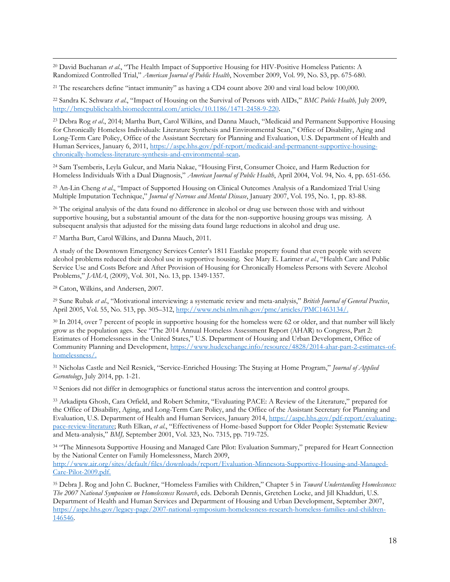$\overline{a}$ <sup>20</sup> David Buchanan *et al*., "The Health Impact of Supportive Housing for HIV-Positive Homeless Patients: A Randomized Controlled Trial," *American Journal of Public Health*, November 2009, Vol. 99, No. S3, pp. 675-680.

<sup>21</sup> The researchers define "intact immunity" as having a CD4 count above 200 and viral load below 100,000.

<sup>22</sup> Sandra K. Schwarz *et al*., "Impact of Housing on the Survival of Persons with AIDs," *BMC Public Health,* July 2009, [http://bmcpublichealth.biomedcentral.com/articles/10.1186/1471-2458-9-220.](http://bmcpublichealth.biomedcentral.com/articles/10.1186/1471-2458-9-220) 

<sup>23</sup> Debra Rog *et al*., 2014; Martha Burt, Carol Wilkins, and Danna Mauch, "Medicaid and Permanent Supportive Housing for Chronically Homeless Individuals: Literature Synthesis and Environmental Scan," Office of Disability, Aging and Long-Term Care Policy, Office of the Assistant Secretary for Planning and Evaluation, U.S. Department of Health and Human Services, January 6, 2011, [https://aspe.hhs.gov/pdf-report/medicaid-and-permanent-supportive-housing](https://aspe.hhs.gov/pdf-report/medicaid-and-permanent-supportive-housing-chronically-homeless-literature-synthesis-and-environmental-scan)[chronically-homeless-literature-synthesis-and-environmental-scan.](https://aspe.hhs.gov/pdf-report/medicaid-and-permanent-supportive-housing-chronically-homeless-literature-synthesis-and-environmental-scan)

<sup>24</sup> Sam Tsemberis, Leyla Gulcur, and Maria Nakae, "Housing First, Consumer Choice, and Harm Reduction for Homeless Individuals With a Dual Diagnosis," *American Journal of Public Health*, April 2004, Vol. 94, No. 4, pp. 651-656.

<sup>25</sup> An-Lin Cheng *et al*., "Impact of Supported Housing on Clinical Outcomes Analysis of a Randomized Trial Using Multiple Imputation Technique," *Journal of Nervous and Mental Disease*, January 2007, Vol. 195, No. 1, pp. 83-88.

<sup>26</sup> The original analysis of the data found no difference in alcohol or drug use between those with and without supportive housing, but a substantial amount of the data for the non-supportive housing groups was missing. A subsequent analysis that adjusted for the missing data found large reductions in alcohol and drug use.

<sup>27</sup> Martha Burt, Carol Wilkins, and Danna Mauch, 2011.

A study of the Downtown Emergency Services Center's 1811 Eastlake property found that even people with severe alcohol problems reduced their alcohol use in supportive housing. See Mary E. Larimer *et al*., "Health Care and Public Service Use and Costs Before and After Provision of Housing for Chronically Homeless Persons with Severe Alcohol Problems," *JAMA*, (2009), Vol. 301, No. 13, pp. 1349-1357.

<sup>28</sup> Caton, Wilkins, and Andersen, 2007.

<sup>29</sup> Sune Rubak *et al*., "Motivational interviewing: a systematic review and meta-analysis," *British Journal of General Practice*, April 2005, Vol. 55, No. 513, pp. 305–312[, http://www.ncbi.nlm.nih.gov/pmc/articles/PMC1463134/.](http://www.ncbi.nlm.nih.gov/pmc/articles/PMC1463134/)

<sup>30</sup> In 2014, over 7 percent of people in supportive housing for the homeless were 62 or older, and that number will likely grow as the population ages. See "The 2014 Annual Homeless Assessment Report (AHAR) to Congress, Part 2: Estimates of Homelessness in the United States," U.S. Department of Housing and Urban Development, Office of Community Planning and Development, [https://www.hudexchange.info/resource/4828/2014-ahar-part-2-estimates-of](https://www.hudexchange.info/resource/4828/2014-ahar-part-2-estimates-of-homelessness/)[homelessness/.](https://www.hudexchange.info/resource/4828/2014-ahar-part-2-estimates-of-homelessness/)

<sup>31</sup> Nicholas Castle and Neil Resnick, "Service-Enriched Housing: The Staying at Home Program," *Journal of Applied Gerontology*, July 2014, pp. 1-21.

<sup>32</sup> Seniors did not differ in demographics or functional status across the intervention and control groups.

<sup>33</sup> Arkadipta Ghosh, Cara Orfield, and Robert Schmitz, "Evaluating PACE: A Review of the Literature," prepared for the Office of Disability, Aging, and Long-Term Care Policy, and the Office of the Assistant Secretary for Planning and Evaluation, U.S. Department of Health and Human Services, January 2014, [https://aspe.hhs.gov/pdf-report/evaluating](https://aspe.hhs.gov/pdf-report/evaluating-pace-review-literature)[pace-review-literature;](https://aspe.hhs.gov/pdf-report/evaluating-pace-review-literature) Ruth Elkan, *et al*., "Effectiveness of Home-based Support for Older People: Systematic Review and Meta-analysis," *BMJ*, September 2001, Vol. 323, No. 7315, pp. 719-725.

<sup>34</sup> "The Minnesota Supportive Housing and Managed Care Pilot: Evaluation Summary," prepared for Heart Connection by the National Center on Family Homelessness, March 2009, [http://www.air.org/sites/default/files/downloads/report/Evaluation-Minnesota-Supportive-Housing-and-Managed-](http://www.air.org/sites/default/files/downloads/report/Evaluation-Minnesota-Supportive-Housing-and-Managed-Care-Pilot-2009.pdf)[Care-Pilot-2009.pdf.](http://www.air.org/sites/default/files/downloads/report/Evaluation-Minnesota-Supportive-Housing-and-Managed-Care-Pilot-2009.pdf)

<sup>35</sup> Debra J. Rog and John C. Buckner, "Homeless Families with Children," Chapter 5 in *Toward Understanding Homelessness: The 2007 National Symposium on Homelessness Research*, eds. Deborah Dennis, Gretchen Locke, and Jill Khadduri, U.S. Department of Health and Human Services and Department of Housing and Urban Development, September 2007, [https://aspe.hhs.gov/legacy-page/2007-national-symposium-homelessness-research-homeless-families-and-children-](https://aspe.hhs.gov/legacy-page/2007-national-symposium-homelessness-research-homeless-families-and-children-146546)[146546.](https://aspe.hhs.gov/legacy-page/2007-national-symposium-homelessness-research-homeless-families-and-children-146546)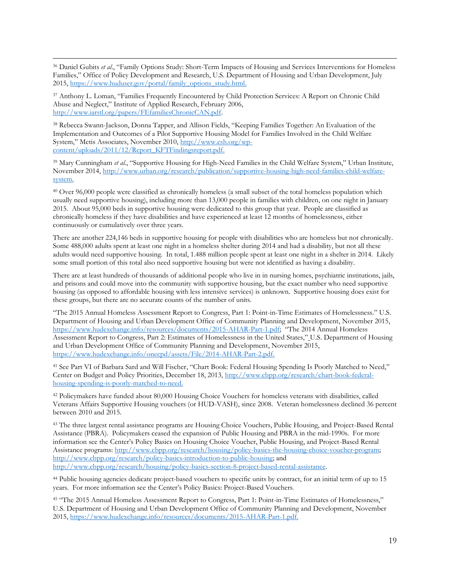$\overline{a}$ <sup>36</sup> Daniel Gubits *et al*., "Family Options Study: Short-Term Impacts of Housing and Services Interventions for Homeless Families," Office of Policy Development and Research, U.S. Department of Housing and Urban Development, July 2015, [https://www.huduser.gov/portal/family\\_options\\_study.html.](https://www.huduser.gov/portal/family_options_study.html)

<sup>37</sup> Anthony L. Loman, "Families Frequently Encountered by Child Protection Services: A Report on Chronic Child Abuse and Neglect," Institute of Applied Research, February 2006, [http://www.iarstl.org/papers/FEfamiliesChronicCAN.pdf.](http://www.iarstl.org/papers/FEfamiliesChronicCAN.pdf)

<sup>38</sup> Rebecca Swann-Jackson, Donna Tapper, and Allison Fields, "Keeping Families Together: An Evaluation of the Implementation and Outcomes of a Pilot Supportive Housing Model for Families Involved in the Child Welfare System," Metis Associates, November 2010, [http://www.csh.org/wp](http://www.csh.org/wp-content/uploads/2011/12/Report_KFTFindingsreport.pdf)[content/uploads/2011/12/Report\\_KFTFindingsreport.pdf.](http://www.csh.org/wp-content/uploads/2011/12/Report_KFTFindingsreport.pdf)

<sup>39</sup> Mary Cunningham *et al*., "Supportive Housing for High-Need Families in the Child Welfare System," Urban Institute, November 2014, [http://www.urban.org/research/publication/supportive-housing-high-need-families-child-welfare](http://www.urban.org/research/publication/supportive-housing-high-need-families-child-welfare-system)[system.](http://www.urban.org/research/publication/supportive-housing-high-need-families-child-welfare-system)

<sup>40</sup> Over 96,000 people were classified as chronically homeless (a small subset of the total homeless population which usually need supportive housing), including more than 13,000 people in families with children, on one night in January 2015. About 95,000 beds in supportive housing were dedicated to this group that year. People are classified as chronically homeless if they have disabilities and have experienced at least 12 months of homelessness, either continuously or cumulatively over three years.

There are another 224,146 beds in supportive housing for people with disabilities who are homeless but not chronically. Some 488,000 adults spent at least one night in a homeless shelter during 2014 and had a disability, but not all these adults would need supportive housing. In total, 1.488 million people spent at least one night in a shelter in 2014. Likely some small portion of this total also need supportive housing but were not identified as having a disability.

There are at least hundreds of thousands of additional people who live in in nursing homes, psychiatric institutions, jails, and prisons and could move into the community with supportive housing, but the exact number who need supportive housing (as opposed to affordable housing with less intensive services) is unknown. Supportive housing does exist for these groups, but there are no accurate counts of the number of units.

"The 2015 Annual Homeless Assessment Report to Congress, Part 1: Point-in-Time Estimates of Homelessness." U.S. Department of Housing and Urban Development Office of Community Planning and Development, November 2015, <https://www.hudexchange.info/resources/documents/2015-AHAR-Part-1.pdf>; "The 2014 Annual Homeless Assessment Report to Congress, Part 2: Estimates of Homelessness in the United States," U.S. Department of Housing and Urban Development Office of Community Planning and Development, November 2015, [https://www.hudexchange.info/onecpd/assets/File/2014-AHAR-Part-2.pdf.](https://www.hudexchange.info/onecpd/assets/File/2014-AHAR-Part-2.pdf)

<sup>41</sup> See Part VI of Barbara Sard and Will Fischer, "Chart Book: Federal Housing Spending Is Poorly Matched to Need," Center on Budget and Policy Priorities, December 18, 2013, [http://www.cbpp.org/research/chart-book-federal](http://www.cbpp.org/research/chart-book-federal-housing-spending-is-poorly-matched-to-need)[housing-spending-is-poorly-matched-to-need.](http://www.cbpp.org/research/chart-book-federal-housing-spending-is-poorly-matched-to-need)

<sup>42</sup> Policymakers have funded about 80,000 Housing Choice Vouchers for homeless veterans with disabilities, called Veterans Affairs Supportive Housing vouchers (or HUD-VASH), since 2008. Veteran homelessness declined 36 percent between 2010 and 2015.

<sup>43</sup> The three largest rental assistance programs are Housing Choice Vouchers, Public Housing, and Project-Based Rental Assistance (PBRA). Policymakers ceased the expansion of Public Housing and PBRA in the mid-1990s. For more information see the Center's Policy Basics on Housing Choice Voucher, Public Housing, and Project-Based Rental Assistance programs: [http://www.cbpp.org/research/housing/policy-basics-the-housing-choice-voucher-program;](http://www.cbpp.org/research/housing/policy-basics-the-housing-choice-voucher-program) [http://www.cbpp.org/research/policy-basics-introduction-to-public-housing;](http://www.cbpp.org/research/policy-basics-introduction-to-public-housing) and [http://www.cbpp.org/research/housing/policy-basics-section-8-project-based-rental-assistance.](http://www.cbpp.org/research/housing/policy-basics-section-8-project-based-rental-assistance)

<sup>44</sup> Public housing agencies dedicate project-based vouchers to specific units by contract, for an initial term of up to 15 years. For more information see the Center's Policy Basics: Project-Based Vouchers.

<sup>45</sup> "The 2015 Annual Homeless Assessment Report to Congress, Part 1: Point-in-Time Estimates of Homelessness," U.S. Department of Housing and Urban Development Office of Community Planning and Development, November 2015, [https://www.hudexchange.info/resources/documents/2015-AHAR-Part-1.pdf.](https://www.hudexchange.info/resources/documents/2015-AHAR-Part-1.pdf)